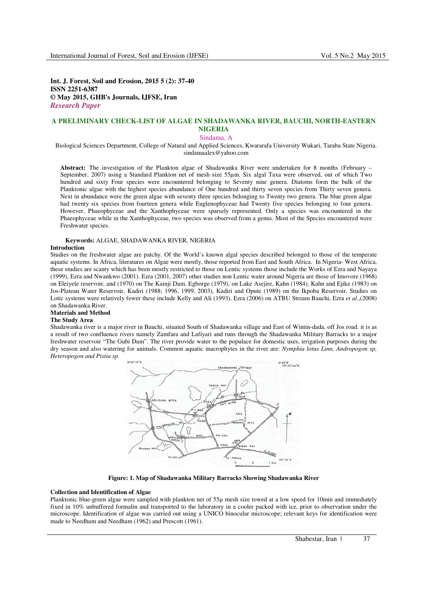**Int. J. Forest, Soil and Erosion, 2015 5 (2): 37-40 ISSN 2251-6387 © May 2015, GHB's Journals, IJFSE, Iran** *Research Paper* 

# **A PRELIMINARY CHECK-LIST OF ALGAE IN SHADAWANKA RIVER, BAUCHI, NORTH-EASTERN NIGERIA**

Sindama, A

Biological Sciences Department, College of Natural and Applied Sciences, Kwararafa University Wukari, Taraba State Nigeria. sindamaalex@yahoo.com

**Abstract:** The investigation of the Plankton algae of Shadawanka River were undertaken for 8 months (February – September, 2007) using a Standard Plankton net of mesh size 55µm. Six algal Taxa were observed, out of which Two hundred and sixty Four species were encountered belonging to Seventy nine genera. Diatoms form the bulk of the Planktonic algae with the highest species abundance of One hundred and thirty seven species from Thirty seven genera. Next in abundance were the green algae with seventy three species belonging to Twenty two genera. The blue green algae had twenty six species from fourteen genera while Euglenophyceae had Twenty five species belonging to four genera. However, Phaeophyceae and the Xanthophyceae were sparsely represented. Only a species was encountered in the Phaeophyceae while in the Xanthophyceae, two species was observed from a genus. Most of the Species encountered were Freshwater species.

## **Keywords:** ALGAE, SHADAWANKA RIVER, NIGERIA

#### **Introduction**

Studies on the freshwater algae are patchy. Of the World's known algal species described belonged to those of the temperate aquatic systems. In Africa, literatures on Algae were mostly, those reported from East and South Africa. In Nigeria- West Africa, these studies are scanty which has been mostly restricted to those on Lentic systems those include the Works of Ezra and Nayaya (1999), Ezra and Nwankwo (2001). Ezra (2001, 2007) other studies non Lentic water around Nigeria are those of Imovore (1968) on Eleiyele reservoir, and (1970) on The Kainji Dam. Egborge (1979), on Lake Asejire, Kahn (1984), Kahn and Ejike (1983) on Jos-Plateau Water Reservoir, Kadiri (1988; 1996, 1999, 2003), Kadiri and Opute (1989) on the Ikpoba Reservoir. Studies on Lotic systems were relatively fewer these include Kelly and Ali (1993), Ezra (2006) on ATBU Stream Bauchi, Ezra *et al*.,(2008) on Shadawanka River.

#### **Materials and Method**

## **The Study Area**

Shadawanka river is a major river in Bauchi, situated South of Shadawanka village and East of Wintin-dada, off Jos road. it is as a result of two confluence rivers namely Zamfara and Lafiyari and runs through the Shadawanka Military Barracks to a major freshwater reservoir "The Gubi Dam". The river provide water to the populace for domestic uses, irrigation purposes during the dry season and also watering for animals. Common aquatic macrophytes in the river are: *Nymphia lotus Linn, Andropogon sp, Heteropogon and Pistia sp.* 



**Figure: 1. Map of Shadawanka Military Barracks Showing Shadawanka River** 

#### **Collection and Identification of Algae**

Planktonic blue-green algae were sampled with plankton net of 55µ mesh size towed at a low speed for 10min and immediately fixed in 10% unbuffered formalin and transported to the laboratory in a cooler packed with ice, prior to observation under the microscope. Identification of algae was carried out using a UNICO binocular microscope; relevant keys for identification were made to Needham and Needham (1962) and Prescott (1961).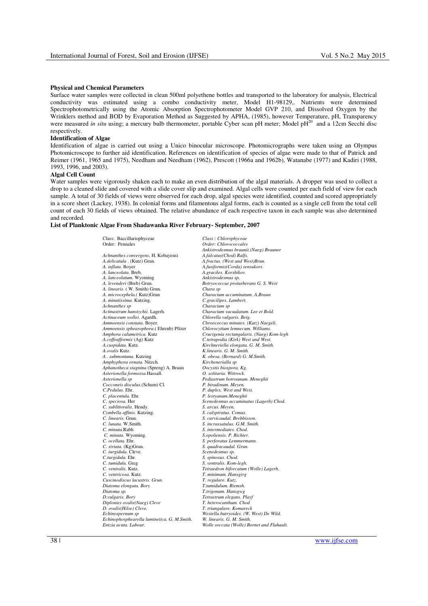#### **Physical and Chemical Parameters**

Surface water samples were collected in clean 500ml polyethene bottles and transported to the laboratory for analysis, Electrical conductivity was estimated using a combo conductivity meter, Model H1-98129,. Nutrients were determined Spectrophotometrically using the Atomic Absorption Spectrophotometer Model GVP 210, and Dissolved Oxygen by the Wrinklers method and BOD by Evaporation Method as Suggested by APHA, (1985), however Temperature, pH, Transparency were measured *in situ* using; a mercury bulb thermometer, portable Cyber scan pH meter; Model pH<sup>20</sup> and a 12cm Secchi disc respectively.

### **Identification of Algae**

Identification of algae is carried out using a Unico binocular microscope. Photomicrographs were taken using an Olympus Photomicroscope to further aid identification. References on identification of species of algae were made to that of Patrick and Reimer (1961, 1965 and 1975), Needham and Needham (1962), Prescott (1966a and 1962b), Watanabe (1977) and Kadiri (1988, 1993, 1996, and 2003).

### **Algal Cell Count**

Water samples were vigorously shaken each to make an even distribution of the algal materials. A dropper was used to collect a drop to a cleaned slide and covered with a slide cover slip and examined. Algal cells were counted per each field of view for each sample. A total of 30 fields of views were observed for each drop, algal species were identified, counted and scored appropriately in a score sheet (Lackey, 1938). In colonial forms and filamentous algal forms, each is counted as a single cell from the total cell count of each 30 fields of views obtained. The relative abundance of each respective taxon in each sample was also determined and recorded.

### **List of Planktonic Algae From Shadawanka River February- September, 2007**

| Class: Baccillariophyceae                   | Class: Chlorophyceae                       |
|---------------------------------------------|--------------------------------------------|
| Order: Pennales                             | Order: Chlorococcales                      |
|                                             | Ankistrodesmus braunii.(Naeg) Brauner      |
| Achnanthes convergens, H. Kobayensi         | A.falcatus(Chod) Ralfs.                    |
| A.delicatula . (Kutz) Grun.                 | A.fractus. (West and West)Brun.            |
| A. <i>inflata</i> . Boyer                   | A.fusiformis(Corda) sensukors.             |
| A. lanceolata. Breb.                        | A.graciles. Korshikov.                     |
| A. lanceolatum. Wyoming                     | Ankistrodesmus sp.                         |
| A. levenderi (Breb) Grun.                   | Botryococcus proturberans G. S. West       |
| A. linearis. (W. Smith) Grun.               | Chara sp                                   |
| A. <i>microcephela</i> .( Kutz)Grun         | Characium accuminatum. A.Braun             |
|                                             |                                            |
| A. minutissima. Kutzing.                    | C.gracilipes. Lambert.                     |
| Achnanthes sp                               | Characium sp                               |
| Actinastrum hanstzchii. Lagerh.             | Characium vacualatum. Lee et Bold.         |
| Actinaceum wollei. Agardh.                  | Chlorella vulgaris. Beig.                  |
| Ammoensis constata. Boyer.                  | Chroococcus minutes. (Kutz) Naegeli.       |
| Ammoensis sphearophora.(Ehrenb) Pfizer      | Chlorocytium lemnecum. Williams.           |
| Amphora calumetrica. Kutz                   | Crucigenia rectangularis. (Naeg) Kom-legh  |
| A.coffeafformis (Ag) Kutz                   | C.tetrapodia (Kirk) West and West.         |
| A.cuspidata. Kutz.                          | Kirchneriella elongata. G. M. Smith.       |
| A.ovalis Kutz.                              | K.linearis. G. M. Smith.                   |
| A. submontana. Kutzing                      | K. obesa. (Bernard) G. M.Smith.            |
| Amphyphora ornata. Nitzch.                  | Kirchenerialla sp                          |
| Aphanotheca stagnina (Spreng) A. Braun      | Oocystis biospora. Kg.                     |
| Asterionella formossa.Hassall.              | O. solitaria. Wittrock.                    |
| Asterionella sp                             | Pediastrum botroanum. Meneghii             |
| Cocconeis disculus. (Schum) Cl.             | P. biradinum. Meyen.                       |
| C.Pedulus. Ehr.                             | P. duplex. West and West.                  |
| C. placentula. Ehr.                         | P. lestyanum.Meneghii                      |
| C. speciosa. Her                            | Scenedesmus accuminatus (Lagerh) Chod.     |
| C. sublittoralis. Hendy.                    | S. arcus. Meyen.                           |
| Cymbella affinis. Kutzing.                  | S. calyptratus. Comas.                     |
| C. linearis. Grun.                          | S. curvicaudal. Brebbisson.                |
| C. lunata. W.Smith.                         | S. incrassatulus. G.M. Smith.              |
| C. minuta.Rabh                              | S. intermediates. Chod.                    |
|                                             |                                            |
| C. minuta. Wyoming.                         | S.opoliensis. P. Richter.                  |
| C. ocellata. Ehr.                           | S. perforatus Lemmermann.                  |
| C. striata. (Kg)Grun.                       | S. quadracaudal. Grun.                     |
| C. turgidula. Cleve.                        | Scenedesmus sp.                            |
| C.turgidula. Ehr.                           | S. spinosus. Chod.                         |
| C. tumidula. Greg                           | S. ventralis. Kom-legh.                    |
| C. ventralis. Kutz.                         | Tetraedron biforcatum (Wolle) Lagerh.      |
| C. ventricosa. Kutz.                        | T. minimum. Hansgirg                       |
| Cuscinodiscus lacustris. Grun.              | T. regulare. Kutz.                         |
| Diatoma elongata. Bory                      | T.tumidulum. Riemsh.                       |
| Diatoma sp.                                 | T.trigonum. Hansgwg                        |
| D.vulgaris. Bory                            | Tetrastrum elegans. Playf                  |
| Diplonies ovalis(Naeg) Cleve                | T. heterocanthum. Chod                     |
| D. ovalis(Hilse) Cleve.                     | T. triangulare. Komareck                   |
| Echinospernum sp                            | Westella butryoides. (W. West) De Wild.    |
| Echinophosphearella luminetica. G. M.Smith. | W. linearis. G. M. Smith.                  |
| Entzia acuta. Labour.                       | Wolle soccata (Wolle) Bornet and Flahault. |
|                                             |                                            |

38 | www.ijfse.com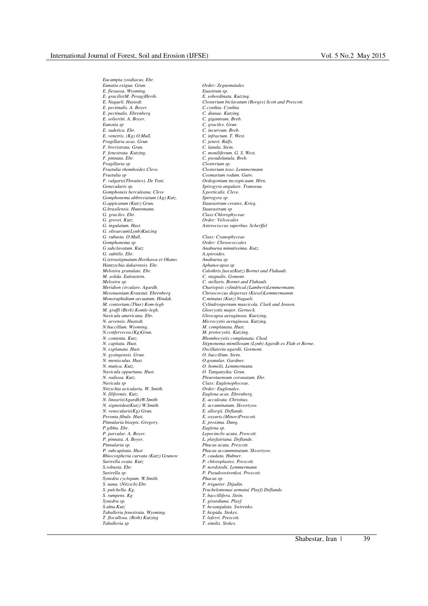*Eucampia zoodiacus. Ehr.* 

*E. flexuosa. Wyoming. E. gracilis(M. Perag)Herib. E. sobordinata. Kutzing.* 

*Eunatia exigua. Grun. Order: Zegnematales E. Nagaeli. Hustedt. Closterium biclavatum (Borges) Scott and Prescott. E. pectinalis. A. Boyer. C.cynthia. Cynthia* 

*Fragillaria acus. Grun C. jeneri. Ralfs. F. brevistrata. Grun.*<br>*F. fenestrata. Kutzing. F. fenestrata. Kutzing. C. moniliferum. G. S. West. F. pinnata. Ehr. C. pseudolanula. Breb. Fragillaria sp Closterium sp. Frustulia sp*<br>*Frustulia sp*<br>*F. vulgaris*(*Thwaites*). De Toni. *F. vulgaris(Thwaites). De Toni. Oedogonium incospicuum. Hirn. Genecularis sp. Spirogyra angulare. Transeau. Gomphoneis herculeana. Cleve S.porticalis. Cleve. Gomphonema abbreviatum (Ag) Kutz. G. appicatum (Kutz) Grun. G.brasilensis. Huntsmann. Staurastrum sp G. graciles. Ehr. Class:Chlorophyceae G. grovei. Kutz. Order: Volvocales G. olivaecum(Lynb)Kutzing G. rubusta. O.Mull. Class: Cyanophyceae Gomphonema sp Order: Chroococcales G subclavatum. Kutz Anabaena minutissima. Kutz. G.tetrastigmatum.Horikawa et Okuno. Anabaena sp Hantzschia dakarensis. Ehr. Aphanocapsa sp M. solida. Eulenstein. C. stagnalis. Gomont. Monoraphidium arcuatum. Hindak.*<br>*M. contorium.(Thur) Kom-legh M. graffi (Berk) Komle-legh.*<br>*M. graffi (Berk) Komle-legh.*<br>Navicula americana. Ehr. *Navicula americana. Ehr. Gleocapsa aeruginosa. Kuetzing.*   $N. baccillum.$  Wyoming. *N.confervecea.(Kg)Grun. M. protocystis. Kutzing. N. explanata. Hust. Oscillatoria agardii. Gormont. N. gysingensis. Grun. O. baccillum. Stein. N. menisculus. Hust. O.granular. Gardner. Navicula oppurtuna. Hust. O. Tanganyika. Grun. N. radiosa. Kutz. Pleurotaeneum coronatum. Ehr. Nitzschia acicularia. W. Smith.*<br>*N. filiformis. Kutz. N. linearis(Agardh)W.Smith E. acculeata. Christiux. N. sigmoidea*(Kutz) W.Smith. *N. venecularis(Kg) Grun. E. allorgii. Deflande. Pinnularia bisepts. Gregory. E. proxima. Dang. P.gibba. Ehr.*<br>*P.gibba. Ehr.*<br>*P. parvular. A. Boyer. P. pinnata. A. Boyer. L. playfairiana. Deflande. Pinnularia sp. Phacus acuta. Prescott. Rhiocospheria curvata (Kutz) Grunow Surirella ovata. Kutz. Surirella ovata. Kutz P. chloroplastes. Prescott. S.robusta. Ehr. P. nordstedii. Lemmermann Synedra cyclopum. W.Smith.*<br>*S. nana.* (Nitzsch) Ehr. *Synedra sp. T. girardiana. Playf. Taballeria fenestrata. Wyoming. T. hispida. Stokes. T. flocullosa. (Roth) Kutzing T. leferri. Prescott.* 

*E. pectinalis. Ehrenberg C. dianae. Kutzing. E. solieritti. A. Boyer. C. giganteum. Breb. Eunotia sp C. graciles. Grun E. sudetica. Ehr. C. incurvum. Breb. E. venetris. (Kg) O.Mull. C. infractum. T. West. Frustulia rhomboides Cleve. Closterium toxo. Lemmermann*   $Staurastrum \, *cerates. Krieg.*$ *G. ingulatum. Hust. Asterococcus superbus. Scherffel*   $A$ .spiroides. *Melosira granulate. Ehr. Calothrix fusca(Kutz) Bornet and Flahault. Melosira sp. C. stellaris. Bornet and Flahault. Meridion circulare. Agardh. Chariopsis cylindrical.(Lambert)Lemmermann. Mesotaenium Kranstai. Ehrenberg Chroococcus disperses (Kiessl)Lemmermannn*   $Cylindrospermum$  muscicola. Clark and Jensen.<br>Gloecystis major. Gerneck. *N. arvensis. Hustedt. Microcystis aeruginosa. Kutzing. N. contenta. Kutz. Rhombocystis complanata. Chod. N. capitata. Hust. Stignonema mimillosum (Lynb) Agardh ex Flah et Borne. N. mutica. Kutz. O. homelii. Lemmermann. Class: Euglenophyceae.*<br>*Order: Euglenales. N. filiformis. Kutz. Euglena acus. Ehrenberg. Peronia fibule. Hust. E. oxyuris.(Minor)Prescott. P. parvular. A. Boyer. Lepocinclis acuta. Prescott. Phacus accumminatum. Skvortzow.*<br>*P. caudata. Hubner. Surirella sp. P. Pseudoswirenkoi. Prescott. S. nana. (Nitzsch) Ehr. P. triqueter. Dijadin. S. pulchella. Kg. Trachelomonas armata( Playf) Deflande. S. rumpens. Kg T. baccillifera. Stein. S.ulna.Kutz T. hexangulata. Swirenko. Taballeria sp T. similis. Stokes.*